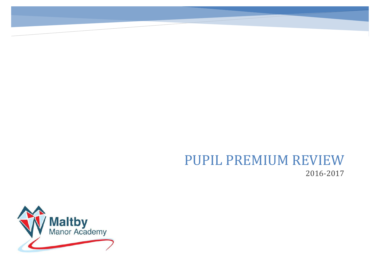# PUPIL PREMIUM REVIEW 2016-2017

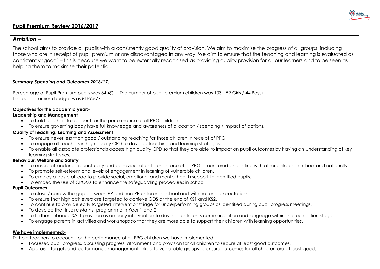

## **Pupil Premium Review 2016/2017**

## *Ambition* –

The school aims to provide all pupils with a consistently good quality of provision. We aim to maximise the progress of all groups, including those who are in receipt of pupil premium or are disadvantaged in any way. We aim to ensure that the teaching and learning is evaluated as consistently 'good' – this is because we want to be externally recognised as providing quality provision for all our learners and to be seen as helping them to maximise their potential.

## *Summary Spending and Outcomes 2016/17***.**

Percentage of Pupil Premium pupils was 34.4% The number of pupil premium children was 103, (59 Girls / 44 Boys) The pupil premium budget was £159,577.

## **Objectives for the academic year:-**

## **Leadership and Management**

- To hold teachers to account for the performance of all PPG children.
- To ensure governing body have full knowledge and awareness of allocation / spending / impact of actions.

## **Quality of Teaching, Learning and Assessment**

- To ensure never less than good / outstanding teaching for those children in receipt of PPG.
- To engage all teachers in high quality CPD to develop teaching and learning strategies.
- To enable all associate professionals access high quality CPD so that they are able to impact on pupil outcomes by having an understanding of key learning strategies.

## **Behaviour, Welfare and Safety**

- To ensure attendance/punctuality and behaviour of children in receipt of PPG is monitored and in-line with other children in school and nationally.
- To promote self-esteem and levels of engagement in learning of vulnerable children.
- To employ a pastoral lead to provide social, emotional and mental health support to identified pupils.
- To embed the use of CPOMs to enhance the safeguarding procedures in school.

### **Pupil Outcomes**

- To close / narrow the gap between PP and non PP children in school and with national expectations.
- To ensure that high achievers are targeted to achieve GDS at the end of KS1 and KS2.
- To continue to provide early targeted intervention/triage for underperforming groups as identified during pupil progress meetings.
- To develop the 'Inspire Maths' programme in Year 1 and 2.
- To further enhance SALT provision as an early intervention to develop children's communication and language within the foundation stage.
- To engage parents in activities and workshops so that they are more able to support their children with learning opportunities.

### **We have implemented:-**

To hold teachers to account for the performance of all PPG children we have implemented:-

- Focussed pupil progress, discussing progress, attainment and provision for all children to secure at least good outcomes.
- Appraisal targets and performance management linked to vulnerable groups to ensure outcomes for all children are at least good.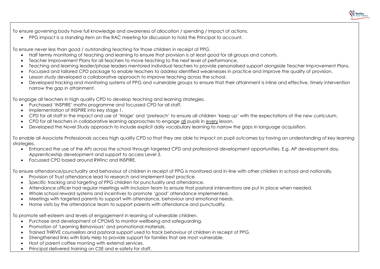To ensure governing body have full knowledge and awareness of allocation / spending / impact of actions.

PPG impact is a standing item on the RAC meeting for discussion to hold the Principal to account.

To ensure never less than good / outstanding teaching for those children in receipt of PPG.

- Half termly monitoring of teaching and learning to ensure that provision is at least good for all groups and cohorts.
- Teacher Improvement Plans for all teachers to move teaching to the next level of performance.
- Teaching and learning leader/phase leaders mentored individual teachers to provide personalised support alongside Teacher Improvement Plans.
- Focussed and tailored CPD package to enable teachers to address identified weaknesses in practice and improve the quality of provision.
- Lesson study developed a collaborative approach to improve teaching across the school.
- Developed tracking and monitoring systems of PPG and vulnerable groups to ensure that their attainment is inline and effective, timely intervention narrow the gap in attainment.

To engage all teachers in high quality CPD to develop teaching and learning strategies.

- Purchased 'INSPIRE' maths programme and focussed CPD for all staff.
- Implementation of INSPIRE into key stage 1.
- CPD for all staff in the impact and use of 'triage' and 'preteach' to ensure all children 'keep up' with the expectations of the new curriculum.
- CPD for all teachers in collaborative learning approaches to engage all pupils in every lesson.
- Developed the Novel Study approach to include explicit daily vocabulary learning to narrow the gaps in language acquisition.

To enable all Associate Professionals access high quality CPD so that they are able to impact on pupil outcomes by having an understanding of key learning strategies.

- Enhanced the use of the APs across the school through targeted CPD and professional development opportunities. E.g. AP development day, Apprenticeship development and support to access Level 3.
- Focussed CPD based around RWInc and INSPIRE.

To ensure attendance/punctuality and behaviour of children in receipt of PPG is monitored and in-line with other children in school and nationally.

- Provision of Trust attendance lead to research and implement best practice.
- Specific tracking and targeting of PPG children for punctuality and attendance.
- Attendance officer had regular meetings with Inclusion team to ensure that pastoral interventions are put in place when needed.
- Whole school reward systems and incentives to promote 'good' attendance implemented.
- Meetings with targeted parents to support with attendance, behaviour and emotional needs.
- Home visits by the attendance team to support parents with attendance and punctuality.

To promote self-esteem and levels of engagement in learning of vulnerable children.

- Purchase and development of CPOMS to monitor wellbeing and safeguarding.
- Promotion of 'Learning Behaviours' and promotional materials.
- Trained THRIVE counsellors and pastoral support used to track behaviour of children in receipt of PPG.
- Strengthened links with Early Help to provide support for families that are most vulnerable.
- Host of parent coffee morning with external services.
- Principal delivered training on CSE and e-safety for staff.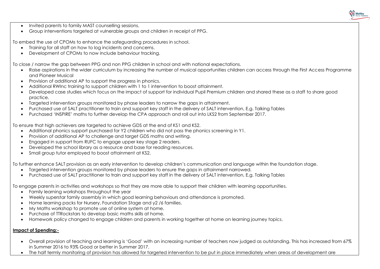

- $\bullet$  Invited parents to family MAST counselling sessions.
- Group interventions targeted at vulnerable groups and children in receipt of PPG.

To embed the use of CPOMs to enhance the safeguarding procedures in school.

- Training for all staff on how to log incidents and concerns.
- Development of CPOMs to now include behaviour tracking.

To close / narrow the gap between PPG and non PPG children in school and with national expectations.

- Raise aspirations in the wider curriculum by increasing the number of musical opportunities children can access through the First Access Programme and Pioneer Musical
- Provision of additional AP to support the progress in phonics.
- Additional RWInc training to support children with 1 to 1 intervention to boost attainment.
- Developed case studies which focus on the impact of support for individual Pupil Premium children and shared these as a staff to share good practice.
- Targeted intervention groups monitored by phase leaders to narrow the gaps in attainment.
- Purchased use of SALT practitioner to train and support key staff in the delivery of SALT intervention, E.g. Talking Tables
- Purchased 'INSPIRE' maths to further develop the CPA approach and roll out into LKS2 from September 2017.

To ensure that high achievers are targeted to achieve GDS at the end of KS1 and KS2.

- Additional phonics support purchased for Y2 children who did not pass the phonics screening in Y1.
- Provision of additional AP to challenge and target GDS maths and writing.
- Engaged in support from RUFC to engage upper key stage 2 readers.
- Developed the school library as a resource and base for reading resources.
- Small group tutor employed to boost attainment at KS2.

To further enhance SALT provision as an early intervention to develop children's communication and language within the foundation stage.

- Targeted intervention groups monitored by phase leaders to ensure the gaps in attainment narrowed.
- Purchased use of SALT practitioner to train and support key staff in the delivery of SALT intervention, E.g. Talking Tables

To engage parents in activities and workshops so that they are more able to support their children with learning opportunities.

- Family learning workshops throughout the year
- Weekly superstar family assembly in which good learning behaviours and attendance is promoted.
- Home learning packs for Nursery, Foundation Stage and y2 /6 families.
- My Maths workshop to promote use of online system at home.
- Purchase of TTRockstars to develop basic maths skills at home.
- Homework policy changed to engage children and parents in working together at home on learning journey topics.

## **Impact of Spending:-**

- Overall provision of teaching and learning is 'Good' with an increasing number of teachers now judged as outstanding. This has increased from 67% in Summer 2016 to 93% Good or better in Summer 2017.
- The half termly monitoring of provision has allowed for targeted intervention to be put in place immediately when areas of development are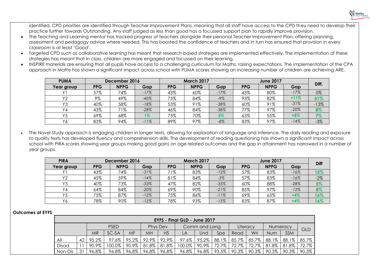

identified. CPD priorities are identified through Teacher Improvement Plans, meaning that all staff have access to the CPD they need to develop their practice further towards Outstanding. Any staff judged as less than good has a focussed support plan to rapidly improve provision.

- The Teaching and Learning mentor has tracked progress of teachers alongside their personal Teacher Improvement Plan; offering planning, assessment and pedagogy advice where needed. This has boosted the confidence of teachers and in turn has ensured that provision in every classroom is at least 'Good'.
- Targeted CPD such as collaborative learning has meant that research based strategies are implemented effectively. The implementation of these strategies has meant that in class, children are more engaged and focussed on their learning.
- INSPIRE materials are ensuring that all pupils have access to a challenging curriculum for Maths, raising expectations. The implementation of the CPA approach in Maths has shown a significant impact across school with PUMA scores showing an increasing number of children are achieving ARE.

| <b>PUMA</b>    | December 2016 |             |        | <b>March 2017</b> |             |        | <b>June 2017</b> |             |        | Diff.  |
|----------------|---------------|-------------|--------|-------------------|-------------|--------|------------------|-------------|--------|--------|
| Year group     | <b>PPG</b>    | <b>NPPG</b> | Gap    | <b>PPG</b>        | <b>NPPG</b> | Gap    | <b>PPG</b>       | <b>NPPG</b> | Gap    |        |
|                | 57%           | 74%         | $-17%$ | 43%               | 60%         | $-17%$ | 43%              | 80%         | $-17%$ | 0%     |
| Y <sub>2</sub> | 9%            | 49%         | $-40%$ | 75%               | 84%         | -9%    | 93%              | 82%         | $+11%$ | 51%    |
| Y3             | 40%           | 58%         | $-18%$ | 53%               | 91%         | $-38%$ | 60%              | 91%         | $-31%$ | $-13%$ |
| Y4             | 43%           | 71%         | $-28%$ | 46%               | 84%         | $-38%$ | 77%              | 97%         | $-20%$ | 8%     |
| Y <sub>5</sub> | 69%           | 68%         | 1%     | 75%               | 70%         | 5%     | 63%              | 55%         | $+8%$  | 7%     |
| Y6             | 83%           | 94%         | $-11%$ | 89%               | 97%         | $-8%$  | 83%              | 97%         | $-14%$ | $-3%$  |

 The Novel Study approach is engaging children in longer texts, allowing for exploration of language and inference. The daily reading and exposure to quality texts has developed fluency and comprehension skills. The development of reading questioning has shown a significant impact across school with PIRA scores showing year groups making good gains on age related outcomes and the gap in attainment has narrowed in a number of year groups.

| <b>PIRA</b>    | December 2016 |             |        | <b>March 2017</b> |             |        | <b>June 2017</b> |             |        | <b>Diff</b> |
|----------------|---------------|-------------|--------|-------------------|-------------|--------|------------------|-------------|--------|-------------|
| Year group     | <b>PPG</b>    | <b>NPPG</b> | Gap    | <b>PPG</b>        | <b>NPPG</b> | Gap    | <b>PPG</b>       | <b>NPPG</b> | Gap    |             |
|                | 43%           | 74%         | $-31%$ | 71%               | 83%         | $-12%$ | 57%              | 83%         | $-16%$ | 15%         |
| Y <sub>2</sub> | 45%           | 59%         | $-14%$ | 81%               | 84%         | $-3%$  | 57%              | 83%         | $-16%$ | $-2%$       |
| Y3             | 40%           | 73%         | $-33%$ | 47%               | 82%         | $-35%$ | $60\%$           | 88%         | $-28%$ | 5%          |
| Y4             | 64%           | 84%         | $-20%$ | 69%               | 90%         | $-21%$ | 85%              | 97%         | $-12%$ | 8%          |
| Y5             | 75%           | 87%         | $-12%$ | 75%               | 86%         | $-11%$ | 69%              | 65%         | $+4%$  | 16%         |
| Y6             | 78%           | 90%         | $-12%$ | 78%               | 93%         | $-15%$ | 83%              | 87%         | $+4%$  | 16%         |

### **Outcomes at EYFS**

|  | <b>EYFS - Final GLD - June 2017</b> |    |       |             |           |       |           |        |               |       |          |       |          |                 |            |
|--|-------------------------------------|----|-------|-------------|-----------|-------|-----------|--------|---------------|-------|----------|-------|----------|-----------------|------------|
|  |                                     |    |       | <b>PSED</b> |           |       | Phys Dev  |        | Comm and Lang |       | Literacy |       |          | <b>Numeracy</b> | <b>GLD</b> |
|  |                                     |    | MR    | SC-SA       | <b>MF</b> | ΜH    | <b>HS</b> | LA     | Und           | Spe   | Read     | Wri   | Num      | <b>SSM</b>      |            |
|  | All                                 | 42 | 95.2% | $97.6\%$    | 95.2%     | 92.9% | 92.9%     | 97.6%  | 95.2%         | 88.1% | 85.7%    | 85.7% | 88.1%    | 88.1%           | 85.7%      |
|  | Disad.                              |    | 90.9% | $100.0\%$   | 90.9%     | 81.8% | 81.8%     | 100.0% | 90.9%         | 72.7% | 72.7%    | 72.7% | 81.8%    | 81.8%           | 72.7%      |
|  | Non-Dis                             | 31 | 96.8% | 96.8%       | 96.8%     | 96.8% | 96.8%     | 96.8%  | $96.8\%$      | 93.5% | 90.3%    | 90.3% | $90.3\%$ | 90.3%           | 90.3%      |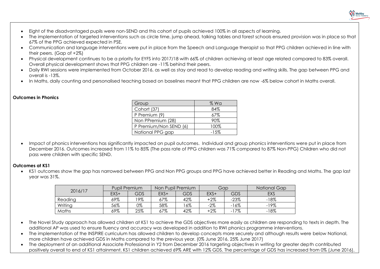

- Eight of the disadvantaged pupils were non-SEND and this cohort of pupils achieved 100% in all aspects of learning.
- The implementation of targeted interventions such as circle time, jump ahead, talking tables and forest schools ensured provision was in place so that 67% of the PPG achieved expected in PSE.
- Communication and language interventions were put in place from the Speech and Language therapist so that PPG children achieved in line with their peers. (Gap of +2%)
- Physical development continues to be a priority for EYFS into 2017/18 with 66% of children achieving at least age related compared to 83% overall. Overall physical development shows that PPG children are -11% behind their peers.
- Daily RWI sessions were implemented from October 2016, as well as stay and read to develop reading and writing skills. The gap between PPG and overall is -13%.
- In Maths, daily counting and personalised teaching based on baselines meant that PPG children are now -6% below cohort in Maths overall.

## **Outcomes in Phonics**

| Group                  | $%$ Wa   |
|------------------------|----------|
| Cohort (37)            | 84%      |
| P Premium (9)          | 67%      |
| Non PPremium (28)      | 90%      |
| P Premium/Non SEND (6) | 100%     |
| National PPG gap       | $-1.5\%$ |
|                        |          |

 Impact of phonics interventions has significantly impacted on pupil outcomes. Individual and group phonics interventions were put in place from December 2016. Outcomes increased from 11% to 85% (The pass rate of PPG children was 71% compared to 87% Non-PPG) Children who did not pass were children with specific SEND.

## **Outcomes at KS1**

 KS1 outcomes show the gap has narrowed between PPG and Non PPG groups and PPG have achieved better in Reading and Maths. The gap last year was 31%.

|         | Pupil Premium |     | Non Pupil Premium |     | Gap   |        | National Gap |
|---------|---------------|-----|-------------------|-----|-------|--------|--------------|
| 2016/17 | $EXS+$        | GDS | EXS+              | GDS | EXS+  | GDS    | <b>EXS</b>   |
| Reading | 69%           | '9% | 67%               | 42% | $+2%$ | $-23%$ | $-18%$       |
| Writing | 56%           | 0%  | 58%               | 6%  | $-2%$ | $-16%$ | $-19%$       |
| Maths   | 69%           | 25% | 67%               | 42% | $+2%$ | $-17%$ | $-18%$       |

- The Novel Study approach has allowed children at KS1 to achieve the GDS objectives more easily as children are responding to texts in depth. The additional AP was used to ensure fluency and accuracy was developed in addition to RWI phonics programme interventions.
- The implementation of the INSPIRE curriculum has allowed children to develop concepts more securely and although results were below National, more children have achieved GDS in Maths compared to the previous year. (0% June 2016, 25% June 2017)
- The deployment of an additional Associate Professional in Y2 from December 2016 targeting objectives in writing for greater depth contributed positively overall to end of KS1 attainment. KS1 children achieved 69% ARE with 12% GDS. The percentage of GDS has increased from 0% (June 2016).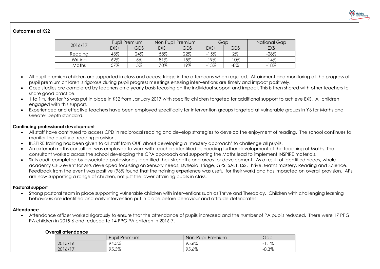

## **Outcomes at KS2**

|         | Pupil Premium |     | Non Pupil Premium |     | Gap    |        | National Gap |  |
|---------|---------------|-----|-------------------|-----|--------|--------|--------------|--|
| 2016/17 | $EXS+$        | GDS | EXS+              | GDS | EXS+   | GDS    | EXS          |  |
| Reading | 43%           | 24% | 58%               | 22% | $-15%$ | 2%     | $-28%$       |  |
| Writing | 62%           | 5%  | 81%               | 5%  | -19%   | $-10%$ | $-14%$       |  |
| Maths   | 57%           | 5%  | 70%               | '9% | $-13%$ | $-8%$  | $-18%$       |  |

- All pupil premium children are supported in class and access triage in the afternoons when required. Attainment and monitoring of the progress of pupil premium children is rigorous during pupil progress meetings ensuring interventions are timely and impact positively.
- Case studies are completed by teachers on a yearly basis focusing on the individual support and impact. This is then shared with other teachers to share good practice.
- 1 to 1 tuition for Y6 was put in place in KS2 from January 2017 with specific children targeted for additional support to achieve EXS. All children engaged with this support.
- Experienced and effective teachers have been employed specifically for intervention groups targeted at vulnerable groups in Y6 for Maths and Greater Depth standard.

### **Continuing professional development**

- All staff have continued to access CPD in reciprocal reading and develop strategies to develop the enjoyment of reading. The school continues to monitor the quality of reading provision.
- INSPIRE training has been given to all staff from OUP about developing a 'mastery approach' to challenge all pupils.
- An external maths consultant was employed to work with teachers identified as needing further development of the teaching of Maths. The consultant worked across the school developing the CPA approach and supporting the Maths lead to implement INSPIRE materials.
- Skills audit completed by associated professionals identified their strengths and areas for development. As a result of identified needs, whole academy CPD event for APs developed focussing on Sensory needs, Dyslexia, Triage, GPS, SALT, LSS, Thrive, Maths mastery, Reading and Science. Feedback from the event was positive (96% found that the training experience was useful for their work) and has impacted on overall provision. APs are now supporting a range of children, not just the lower attaining pupils in class.

## **Pastoral support**

 Strong pastoral team in place supporting vulnerable children with interventions such as Thrive and Theraplay. Children with challenging learning behaviours are identified and early intervention put in place before behaviour and attitude deteriorates.

### **Attendance**

 Attendance officer worked rigorously to ensure that the attendance of pupils increased and the number of PA pupils reduced. There were 17 PPG PA children in 2015-6 and reduced to 14 PPG PA children in 2016-7.

### **Overall attendance**

| .       |                      |                   |                                    |
|---------|----------------------|-------------------|------------------------------------|
|         | <b>Pupil Premium</b> | Non-Pupil Premium | Gap                                |
| 2015/16 | 94.5%                | 95.6%             | $.1\%$<br>$\overline{\phantom{a}}$ |
| 2016/17 | 95.3%                | OF.<br>15.6%      | $-0.3%$                            |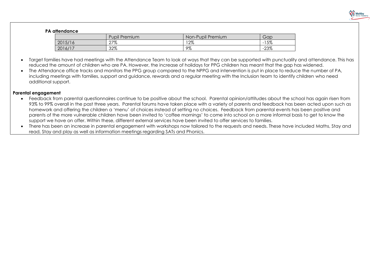

## **PA attendance**

|         | <b>Pupil Premium</b> | Non-Pupil Premium | Gap          |
|---------|----------------------|-------------------|--------------|
| 2015/16 | 27%                  | 12%               | 5%<br>$\sim$ |
| 2016/17 | 32%                  | 9%                | $-23%$       |

- Target families have had meetings with the Attendance Team to look at ways that they can be supported with punctuality and attendance. This has reduced the amount of children who are PA. However, the increase of holidays for PPG children has meant that the gap has widened.
- The Attendance office tracks and monitors the PPG group compared to the NPPG and intervention is put in place to reduce the number of PA, including meetings with families, support and guidance, rewards and a regular meeting with the Inclusion team to identify children who need additional support.

### **Parental engagement**

- Feedback from parental questionnaires continue to be positive about the school. Parental opinion/attitudes about the school has again risen from 93% to 99% overall in the past three years. Parental forums have taken place with a variety of parents and feedback has been acted upon such as homework and offering the children a 'menu' of choices instead of setting no choices. Feedback from parental events has been positive and parents of the more vulnerable children have been invited to 'coffee mornings' to come into school on a more informal basis to get to know the support we have on offer. Within these, different external services have been invited to offer services to families.
- There has been an increase in parental engagement with workshops now tailored to the requests and needs. These have included Maths, Stay and read, Stay and play as well as information meetings regarding SATs and Phonics.